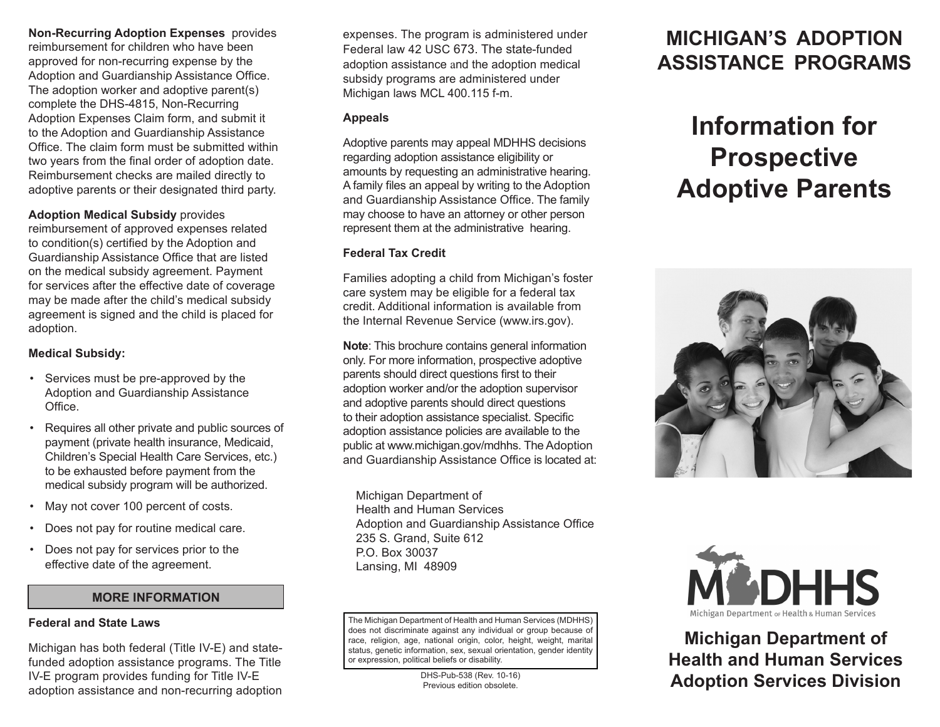### **Non-Recurring Adoption Expenses** provides

reimbursement for children who have been approved for non-recurring expense by the Adoption and Guardianship Assistance Office. The adoption worker and adoptive parent(s) complete the DHS-4815, Non-Recurring Adoption Expenses Claim form, and submit it to the Adoption and Guardianship Assistance Office. The claim form must be submitted within two years from the final order of adoption date. Reimbursement checks are mailed directly to adoptive parents or their designated third party.

### **Adoption Medical Subsidy** provides

reimbursement of approved expenses related to condition(s) certified by the Adoption and Guardianship Assistance Office that are listed on the medical subsidy agreement. Payment for services after the effective date of coverage may be made after the child's medical subsidy agreement is signed and the child is placed for adoption.

### **Medical Subsidy:**

- Services must be pre-approved by the Adoption and Guardianship Assistance Office.
- Requires all other private and public sources of payment (private health insurance, Medicaid, Children's Special Health Care Services, etc.) to be exhausted before payment from the medical subsidy program will be authorized.
- May not cover 100 percent of costs.
- Does not pay for routine medical care.
- Does not pay for services prior to the effective date of the agreement.

### **MORE INFORMATION**

#### **Federal and State Laws**

l

Michigan has both federal (Title IV-E) and statefunded adoption assistance programs. The Title IV-E program provides funding for Title IV-E adoption assistance and non-recurring adoption

expenses. The program is administered under Federal law 42 USC 673. The state-funded adoption assistance and the adoption medical subsidy programs are administered under Michigan laws MCL 400.115 f-m.

### **Appeals**

Adoptive parents may appeal MDHHS decisions regarding adoption assistance eligibility or amounts by requesting an administrative hearing. A family files an appeal by writing to the Adoption and Guardianship Assistance Office. The family may choose to have an attorney or other person represent them at the administrative hearing.

### **Federal Tax Credit**

Families adopting a child from Michigan's foster care system may be eligible for a federal tax credit. Additional information is available from the Internal Revenue Service (www.irs.gov).

**Note**: This brochure contains general information only. For more information, prospective adoptive parents should direct questions first to their adoption worker and/or the adoption supervisor and adoptive parents should direct questions to their adoption assistance specialist. Specific adoption assistance policies are available to the public at www.michigan.gov/mdhhs. The Adoption and Guardianship Assistance Office is located at:

Michigan Department of Health and Human Services Adoption and Guardianship Assistance Office 235 S. Grand, Suite 612 P.O. Box 30037 Lansing, MI 48909

The Michigan Department of Health and Human Services (MDHHS) does not discriminate against any individual or group because of race, religion, age, national origin, color, height, weight, marital status, genetic information, sex, sexual orientation, gender identity or expression, political beliefs or disability.

> DHS-Pub-538 (Rev. 10-16) Previous edition obsolete.

# **MICHIGAN'S ADOPTION ASSISTANCE PROGRAMS**

# **Information for Prospective Adoptive Parents**





**Michigan Department of Health and Human Services Adoption Services Division**